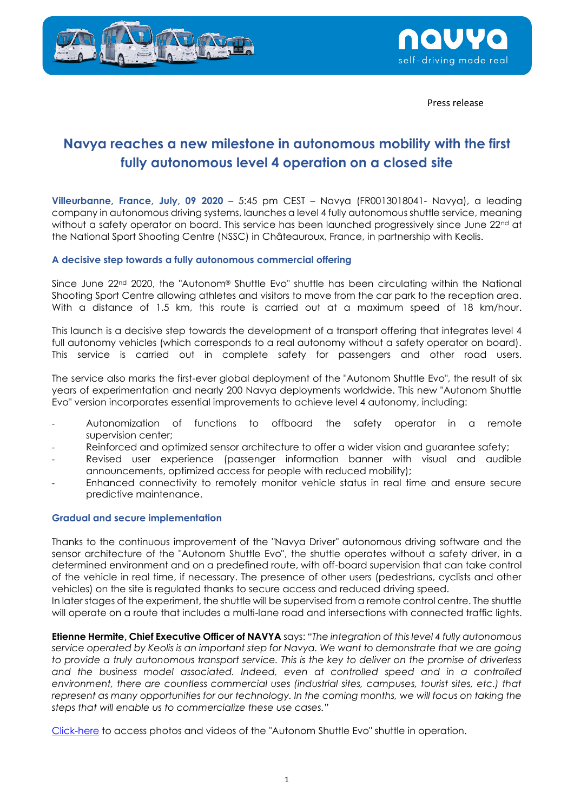



Press release

## **Navya reaches a new milestone in autonomous mobility with the first fully autonomous level 4 operation on a closed site**

**Villeurbanne, France, July, 09 2020** – 5:45 pm CEST – Navya (FR0013018041- Navya), a leading company in autonomous driving systems, launches a level 4 fully autonomous shuttle service, meaning without a safety operator on board. This service has been launched progressively since June 22<sup>nd</sup> at the National Sport Shooting Centre (NSSC) in Châteauroux, France, in partnership with Keolis.

## **A decisive step towards a fully autonomous commercial offering**

Since June 22<sup>nd</sup> 2020, the "Autonom® Shuttle Evo" shuttle has been circulating within the National Shooting Sport Centre allowing athletes and visitors to move from the car park to the reception area. With a distance of 1.5 km, this route is carried out at a maximum speed of 18 km/hour.

This launch is a decisive step towards the development of a transport offering that integrates level 4 full autonomy vehicles (which corresponds to a real autonomy without a safety operator on board). This service is carried out in complete safety for passengers and other road users.

The service also marks the first-ever global deployment of the "Autonom Shuttle Evo", the result of six years of experimentation and nearly 200 Navya deployments worldwide. This new "Autonom Shuttle Evo" version incorporates essential improvements to achieve level 4 autonomy, including:

- Autonomization of functions to offboard the safety operator in a remote supervision center;
- Reinforced and optimized sensor architecture to offer a wider vision and guarantee safety;
- Revised user experience (passenger information banner with visual and audible announcements, optimized access for people with reduced mobility);
- Enhanced connectivity to remotely monitor vehicle status in real time and ensure secure predictive maintenance.

## **Gradual and secure implementation**

Thanks to the continuous improvement of the "Navya Driver" autonomous driving software and the sensor architecture of the "Autonom Shuttle Evo", the shuttle operates without a safety driver, in a determined environment and on a predefined route, with off-board supervision that can take control of the vehicle in real time, if necessary. The presence of other users (pedestrians, cyclists and other vehicles) on the site is regulated thanks to secure access and reduced driving speed.

In later stages of the experiment, the shuttle will be supervised from a remote control centre. The shuttle will operate on a route that includes a multi-lane road and intersections with connected traffic lights.

**Etienne Hermite, Chief Executive Officer of NAVYA** says: *"The integration of this level 4 fully autonomous service operated by Keolis is an important step for Navya. We want to demonstrate that we are going to provide a truly autonomous transport service. This is the key to deliver on the promise of driverless and the business model associated. Indeed, even at controlled speed and in a controlled environment, there are countless commercial uses (industrial sites, campuses, tourist sites, etc.) that*  represent as many opportunities for our technology. In the coming months, we will focus on taking the *steps that will enable us to commercialize these use cases."*

[Click-here](https://www.dropbox.com/sh/0zhcujqru8nud2o/AAC-o2Z4FZLB8SlunckrKfNaa/Autonom%C2%AE%20Shuttle%20Evo?dl=0&subfolder_nav_tracking=1) to access photos and videos of the "Autonom Shuttle Evo" shuttle in operation.